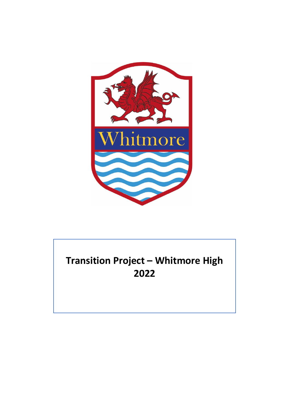

## **Transition Project – Whitmore High 2022**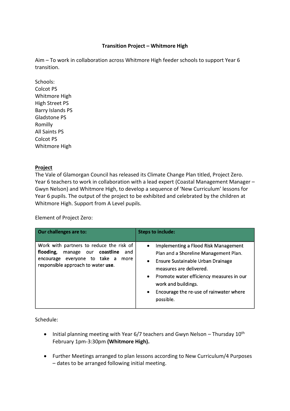## **Transition Project – Whitmore High**

Aim – To work in collaboration across Whitmore High feeder schools to support Year 6 transition.

Schools: Colcot PS Whitmore High High Street PS Barry Islands PS Gladstone PS Romilly All Saints PS Colcot PS Whitmore High

## **Project**

The Vale of Glamorgan Council has released its Climate Change Plan titled, Project Zero. Year 6 teachers to work in collaboration with a lead expert (Coastal Management Manager – Gwyn Nelson) and Whitmore High, to develop a sequence of 'New Curriculum' lessons for Year 6 pupils. The output of the project to be exhibited and celebrated by the children at Whitmore High. Support from A Level pupils.

Element of Project Zero:

| Our challenges are to:                                                                                                                                             | <b>Steps to include:</b>                                                                                                                                                                                                                                                                                          |
|--------------------------------------------------------------------------------------------------------------------------------------------------------------------|-------------------------------------------------------------------------------------------------------------------------------------------------------------------------------------------------------------------------------------------------------------------------------------------------------------------|
| Work with partners to reduce the risk of<br>flooding,<br>coastline<br>manage our<br>and<br>encourage everyone to take a more<br>responsible approach to water use. | Implementing a Flood Risk Management<br>$\bullet$<br>Plan and a Shoreline Management Plan.<br>Ensure Sustainable Urban Drainage<br>$\bullet$<br>measures are delivered.<br>• Promote water efficiency measures in our<br>work and buildings.<br>Encourage the re-use of rainwater where<br>$\bullet$<br>possible. |

Schedule:

- Initial planning meeting with Year 6/7 teachers and Gwyn Nelson Thursday  $10^{th}$ February 1pm-3:30pm **(Whitmore High).**
- Further Meetings arranged to plan lessons according to New Curriculum/4 Purposes – dates to be arranged following initial meeting.